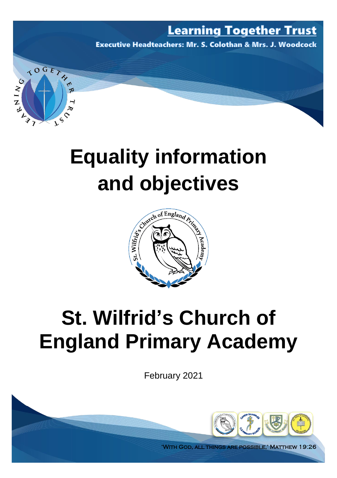### **Learning Together Trust**

**Executive Headteachers: Mr. S. Colothan & Mrs. J. Woodcock** 

# **Equality information**

TOGET

RNING

**MAR** 

 $\varsigma$ 



## **St. Wilfrid's Church of England Primary Academy**

February 2021



'With God, all things are possible,' Matthew 19:26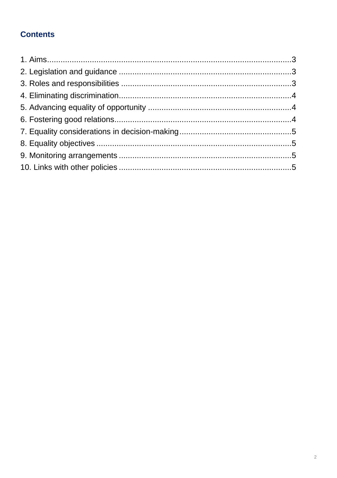#### **Contents**

<span id="page-1-0"></span>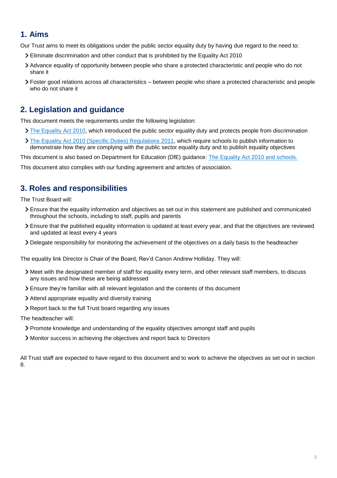#### **1. Aims**

Our Trust aims to meet its obligations under the public sector equality duty by having due regard to the need to:

- Eliminate discrimination and other conduct that is prohibited by the Equality Act 2010
- Advance equality of opportunity between people who share a protected characteristic and people who do not share it
- Foster good relations across all characteristics between people who share a protected characteristic and people who do not share it

#### <span id="page-2-0"></span>**2. Legislation and guidance**

This document meets the requirements under the following legislation:

- [The Equality Act 2010,](http://www.legislation.gov.uk/ukpga/2010/15/contents) which introduced the public sector equality duty and protects people from discrimination
- [The Equality Act 2010 \(Specific Duties\) Regulations 2011,](http://www.legislation.gov.uk/uksi/2011/2260/contents/made) which require schools to publish information to demonstrate how they are complying with the public sector equality duty and to publish equality objectives

This document is also based on Department for Education (DfE) guidance: [The Equality Act 2010 and schools.](https://www.gov.uk/government/publications/equality-act-2010-advice-for-schools) 

This document also complies with our funding agreement and articles of association.

#### <span id="page-2-1"></span>**3. Roles and responsibilities**

The Trust Board will:

- Ensure that the equality information and objectives as set out in this statement are published and communicated throughout the schools, including to staff, pupils and parents
- Ensure that the published equality information is updated at least every year, and that the objectives are reviewed and updated at least every 4 years
- Delegate responsibility for monitoring the achievement of the objectives on a daily basis to the headteacher

The equality link Director is Chair of the Board, Rev'd Canon Andrew Holliday. They will:

- Meet with the designated member of staff for equality every term, and other relevant staff members, to discuss any issues and how these are being addressed
- Ensure they're familiar with all relevant legislation and the contents of this document
- Attend appropriate equality and diversity training
- > Report back to the full Trust board regarding any issues
- The headteacher will:
	- Promote knowledge and understanding of the equality objectives amongst staff and pupils
	- Monitor success in achieving the objectives and report back to Directors

All Trust staff are expected to have regard to this document and to work to achieve the objectives as set out in section 8.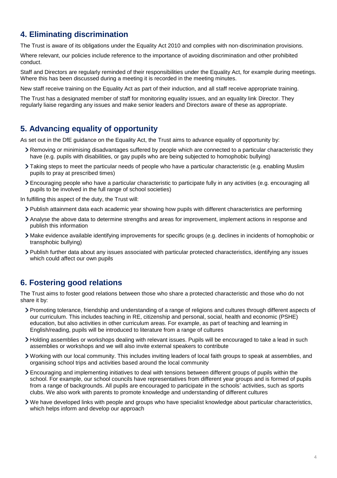#### <span id="page-3-0"></span>**4. Eliminating discrimination**

The Trust is aware of its obligations under the Equality Act 2010 and complies with non-discrimination provisions.

Where relevant, our policies include reference to the importance of avoiding discrimination and other prohibited conduct.

Staff and Directors are regularly reminded of their responsibilities under the Equality Act, for example during meetings. Where this has been discussed during a meeting it is recorded in the meeting minutes.

New staff receive training on the Equality Act as part of their induction, and all staff receive appropriate training.

The Trust has a designated member of staff for monitoring equality issues, and an equality link Director. They regularly liaise regarding any issues and make senior leaders and Directors aware of these as appropriate.

#### <span id="page-3-1"></span>**5. Advancing equality of opportunity**

As set out in the DfE guidance on the Equality Act, the Trust aims to advance equality of opportunity by:

- Removing or minimising disadvantages suffered by people which are connected to a particular characteristic they have (e.g. pupils with disabilities, or gay pupils who are being subjected to homophobic bullying)
- Taking steps to meet the particular needs of people who have a particular characteristic (e.g. enabling Muslim pupils to pray at prescribed times)
- Encouraging people who have a particular characteristic to participate fully in any activities (e.g. encouraging all pupils to be involved in the full range of school societies)

In fulfilling this aspect of the duty, the Trust will:

- Publish attainment data each academic year showing how pupils with different characteristics are performing
- Analyse the above data to determine strengths and areas for improvement, implement actions in response and publish this information
- Make evidence available identifying improvements for specific groups (e.g. declines in incidents of homophobic or transphobic bullying)
- Publish further data about any issues associated with particular protected characteristics, identifying any issues which could affect our own pupils

#### <span id="page-3-2"></span>**6. Fostering good relations**

The Trust aims to foster good relations between those who share a protected characteristic and those who do not share it by:

- Promoting tolerance, friendship and understanding of a range of religions and cultures through different aspects of our curriculum. This includes teaching in RE, citizenship and personal, social, health and economic (PSHE) education, but also activities in other curriculum areas. For example, as part of teaching and learning in English/reading, pupils will be introduced to literature from a range of cultures
- Holding assemblies or workshops dealing with relevant issues. Pupils will be encouraged to take a lead in such assemblies or workshops and we will also invite external speakers to contribute
- Working with our local community. This includes inviting leaders of local faith groups to speak at assemblies, and organising school trips and activities based around the local community
- Encouraging and implementing initiatives to deal with tensions between different groups of pupils within the school. For example, our school councils have representatives from different year groups and is formed of pupils from a range of backgrounds. All pupils are encouraged to participate in the schools' activities, such as sports clubs. We also work with parents to promote knowledge and understanding of different cultures
- <span id="page-3-3"></span>We have developed links with people and groups who have specialist knowledge about particular characteristics, which helps inform and develop our approach